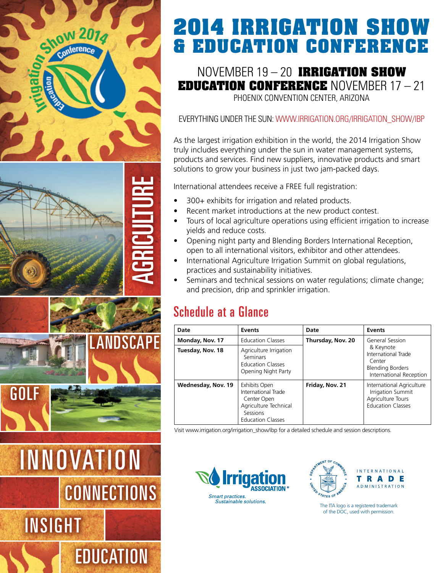

# **2014 Irrigation Show & Education Conference**

November 19 – 20 **irrigation show education conference** November 17 – 21 Phoenix Convention Center, Arizona

### Everything under the sun: www.irrigation.org/irrigation\_show/ibp

As the largest irrigation exhibition in the world, the 2014 Irrigation Show truly includes everything under the sun in water management systems, products and services. Find new suppliers, innovative products and smart solutions to grow your business in just two jam-packed days.

International attendees receive a FREE full registration:

- 300+ exhibits for irrigation and related products.
- Recent market introductions at the new product contest.
- Tours of local agriculture operations using efficient irrigation to increase yields and reduce costs.
- • Opening night party and Blending Borders International Reception, open to all international visitors, exhibitor and other attendees.
- International Agriculture Irrigation Summit on global regulations, practices and sustainability initiatives.
- Seminars and technical sessions on water regulations; climate change; and precision, drip and sprinkler irrigation.

## Schedule at a Glance

| Date               | <b>Events</b>                                                                                                        | Date              | Events                                                                                                              |
|--------------------|----------------------------------------------------------------------------------------------------------------------|-------------------|---------------------------------------------------------------------------------------------------------------------|
| Monday, Nov. 17    | <b>Education Classes</b>                                                                                             | Thursday, Nov. 20 | General Session<br>& Keynote<br>International Trade<br>Center<br><b>Blending Borders</b><br>International Reception |
| Tuesday, Nov. 18   | Agriculture Irrigation<br>Seminars<br><b>Education Classes</b><br>Opening Night Party                                |                   |                                                                                                                     |
| Wednesday, Nov. 19 | Exhibits Open<br>International Trade<br>Center Open<br>Agriculture Technical<br>Sessions<br><b>Education Classes</b> | Friday, Nov. 21   | International Agriculture<br>Irrigation Summit<br>Agriculture Tours<br><b>Education Classes</b>                     |

Visit www.irrigation.org/irrigation\_show/ibp for a detailed schedule and session descriptions.





The ITA logo is a registered trademark of the DOC, used with permission.